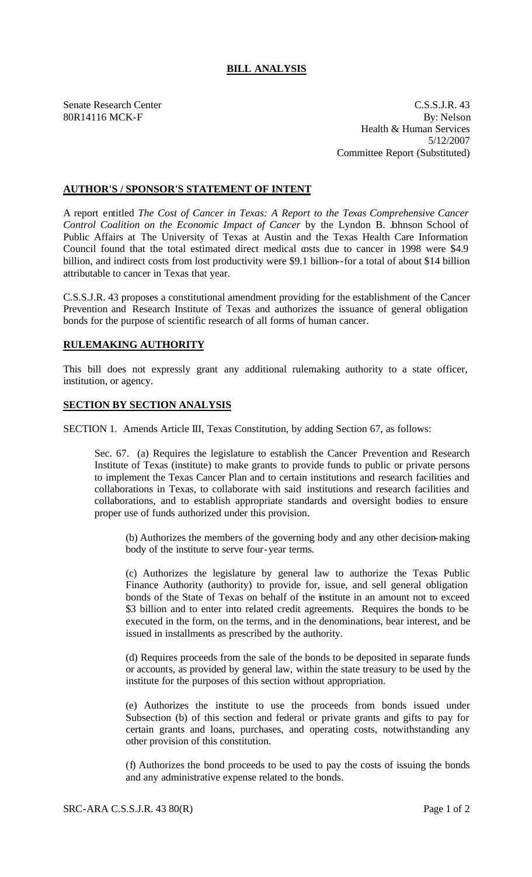## **BILL ANALYSIS**

Senate Research Center C.S.S.J.R. 43 80R14116 MCK-F By: Nelson Health & Human Services 5/12/2007 Committee Report (Substituted)

## **AUTHOR'S / SPONSOR'S STATEMENT OF INTENT**

A report entitled *The Cost of Cancer in Texas: A Report to the Texas Comprehensive Cancer Control Coalition on the Economic Impact of Cancer* by the Lyndon B. Johnson School of Public Affairs at The University of Texas at Austin and the Texas Health Care Information Council found that the total estimated direct medical costs due to cancer in 1998 were \$4.9 billion, and indirect costs from lost productivity were \$9.1 billion--for a total of about \$14 billion attributable to cancer in Texas that year.

C.S.S.J.R. 43 proposes a constitutional amendment providing for the establishment of the Cancer Prevention and Research Institute of Texas and authorizes the issuance of general obligation bonds for the purpose of scientific research of all forms of human cancer.

## **RULEMAKING AUTHORITY**

This bill does not expressly grant any additional rulemaking authority to a state officer, institution, or agency.

## **SECTION BY SECTION ANALYSIS**

SECTION 1. Amends Article III, Texas Constitution, by adding Section 67, as follows:

Sec. 67. (a) Requires the legislature to establish the Cancer Prevention and Research Institute of Texas (institute) to make grants to provide funds to public or private persons to implement the Texas Cancer Plan and to certain institutions and research facilities and collaborations in Texas, to collaborate with said institutions and research facilities and collaborations, and to establish appropriate standards and oversight bodies to ensure proper use of funds authorized under this provision.

(b) Authorizes the members of the governing body and any other decision-making body of the institute to serve four-year terms.

(c) Authorizes the legislature by general law to authorize the Texas Public Finance Authority (authority) to provide for, issue, and sell general obligation bonds of the State of Texas on behalf of the institute in an amount not to exceed \$3 billion and to enter into related credit agreements. Requires the bonds to be executed in the form, on the terms, and in the denominations, bear interest, and be issued in installments as prescribed by the authority.

(d) Requires proceeds from the sale of the bonds to be deposited in separate funds or accounts, as provided by general law, within the state treasury to be used by the institute for the purposes of this section without appropriation.

(e) Authorizes the institute to use the proceeds from bonds issued under Subsection (b) of this section and federal or private grants and gifts to pay for certain grants and loans, purchases, and operating costs, notwithstanding any other provision of this constitution.

(f) Authorizes the bond proceeds to be used to pay the costs of issuing the bonds and any administrative expense related to the bonds.